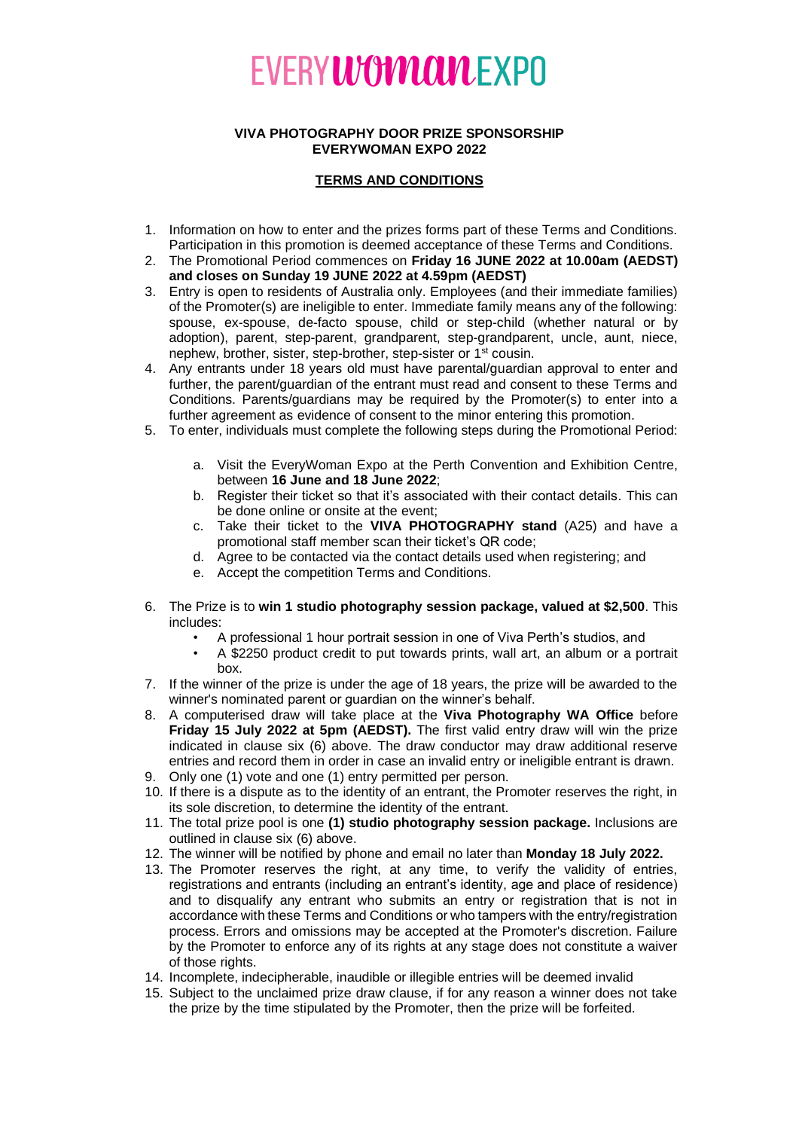## **EVERYWOMCULEXPO**

## **VIVA PHOTOGRAPHY DOOR PRIZE SPONSORSHIP EVERYWOMAN EXPO 2022**

## **TERMS AND CONDITIONS**

- 1. Information on how to enter and the prizes forms part of these Terms and Conditions. Participation in this promotion is deemed acceptance of these Terms and Conditions.
- 2. The Promotional Period commences on **Friday 16 JUNE 2022 at 10.00am (AEDST) and closes on Sunday 19 JUNE 2022 at 4.59pm (AEDST)**
- 3. Entry is open to residents of Australia only. Employees (and their immediate families) of the Promoter(s) are ineligible to enter. Immediate family means any of the following: spouse, ex-spouse, de-facto spouse, child or step-child (whether natural or by adoption), parent, step-parent, grandparent, step-grandparent, uncle, aunt, niece, nephew, brother, sister, step-brother, step-sister or 1<sup>st</sup> cousin.
- 4. Any entrants under 18 years old must have parental/guardian approval to enter and further, the parent/guardian of the entrant must read and consent to these Terms and Conditions. Parents/guardians may be required by the Promoter(s) to enter into a further agreement as evidence of consent to the minor entering this promotion.
- 5. To enter, individuals must complete the following steps during the Promotional Period:
	- a. Visit the EveryWoman Expo at the Perth Convention and Exhibition Centre, between **16 June and 18 June 2022**;
	- b. Register their ticket so that it's associated with their contact details. This can be done online or onsite at the event;
	- c. Take their ticket to the **VIVA PHOTOGRAPHY stand** (A25) and have a promotional staff member scan their ticket's QR code;
	- d. Agree to be contacted via the contact details used when registering; and
	- e. Accept the competition Terms and Conditions.
- 6. The Prize is to **win 1 studio photography session package, valued at \$2,500**. This includes:
	- A professional 1 hour portrait session in one of Viva Perth's studios, and
	- A \$2250 product credit to put towards prints, wall art, an album or a portrait box.
- 7. If the winner of the prize is under the age of 18 years, the prize will be awarded to the winner's nominated parent or guardian on the winner's behalf.
- 8. A computerised draw will take place at the **Viva Photography WA Office** before **Friday 15 July 2022 at 5pm (AEDST).** The first valid entry draw will win the prize indicated in clause six (6) above. The draw conductor may draw additional reserve entries and record them in order in case an invalid entry or ineligible entrant is drawn.
- 9. Only one (1) vote and one (1) entry permitted per person.
- 10. If there is a dispute as to the identity of an entrant, the Promoter reserves the right, in its sole discretion, to determine the identity of the entrant.
- 11. The total prize pool is one **(1) studio photography session package.** Inclusions are outlined in clause six (6) above.
- 12. The winner will be notified by phone and email no later than **Monday 18 July 2022.**
- 13. The Promoter reserves the right, at any time, to verify the validity of entries, registrations and entrants (including an entrant's identity, age and place of residence) and to disqualify any entrant who submits an entry or registration that is not in accordance with these Terms and Conditions or who tampers with the entry/registration process. Errors and omissions may be accepted at the Promoter's discretion. Failure by the Promoter to enforce any of its rights at any stage does not constitute a waiver of those rights.
- 14. Incomplete, indecipherable, inaudible or illegible entries will be deemed invalid
- 15. Subject to the unclaimed prize draw clause, if for any reason a winner does not take the prize by the time stipulated by the Promoter, then the prize will be forfeited.